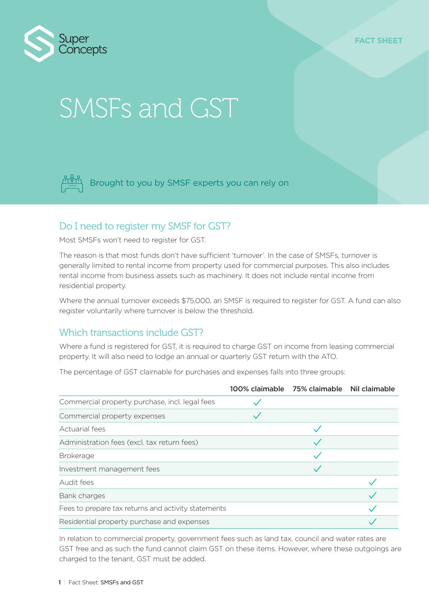

# SMSFs and GST



Brought to you by SMSF experts you can rely on

## Do I need to register my SMSF for GST?

Most SMSFs won't need to register for GST.

The reason is that most funds don't have sufficient 'turnover'. In the case of SMSFs, turnover is generally limited to rental income from property used for commercial purposes. This also includes rental income from business assets such as machinery. It does not include rental income from residential property.

Where the annual turnover exceeds \$75,000, an SMSF is required to register for GST. A fund can also register voluntarily where turnover is below the threshold.

## Which transactions include GST?

Where a fund is registered for GST, it is required to charge GST on income from leasing commercial property. It will also need to lodge an annual or quarterly GST return with the ATO.

The percentage of GST claimable for purchases and expenses falls into three groups:

|                                                     | 100% claimable 75% claimable Nil claimable |  |
|-----------------------------------------------------|--------------------------------------------|--|
| Commercial property purchase, incl. legal fees      |                                            |  |
| Commercial property expenses                        |                                            |  |
| Actuarial fees                                      |                                            |  |
| Administration fees (excl. tax return fees)         |                                            |  |
| <b>Brokerage</b>                                    |                                            |  |
| Investment management fees                          |                                            |  |
| Audit fees                                          |                                            |  |
| Bank charges                                        |                                            |  |
| Fees to prepare tax returns and activity statements |                                            |  |
| Residential property purchase and expenses          |                                            |  |

In relation to commercial property, government fees such as land tax, council and water rates are GST free and as such the fund cannot claim GST on these items. However, where these outgoings are charged to the tenant, GST must be added.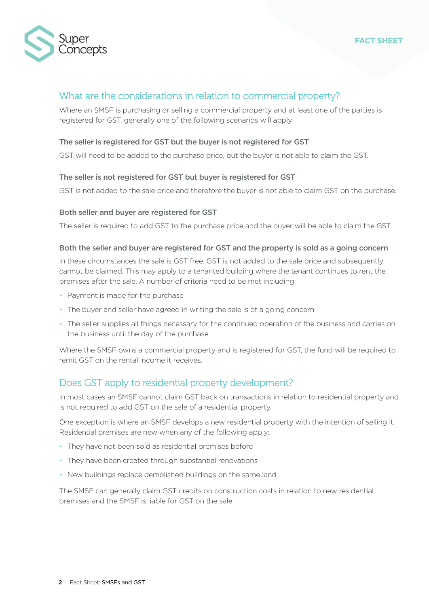

#### **FACT SHEET**

## What are the considerations in relation to commercial property?

Where an SMSF is purchasing or selling a commercial property and at least one of the parties is registered for GST, generally one of the following scenarios will apply.

#### The seller is registered for GST but the buyer is not registered for GST

GST will need to be added to the purchase price, but the buyer is not able to claim the GST.

#### The seller is not registered for GST but buyer is registered for GST

GST is not added to the sale price and therefore the buyer is not able to claim GST on the purchase.

#### Both seller and buyer are registered for GST

The seller is required to add GST to the purchase price and the buyer will be able to claim the GST.

#### Both the seller and buyer are registered for GST and the property is sold as a going concern

In these circumstances the sale is GST free. GST is not added to the sale price and subsequently cannot be claimed. This may apply to a tenanted building where the tenant continues to rent the premises after the sale. A number of criteria need to be met including:

- Payment is made for the purchase
- The buyer and seller have agreed in writing the sale is of a going concern
- The seller supplies all things necessary for the continued operation of the business and carries on the business until the day of the purchase

Where the SMSF owns a commercial property and is registered for GST, the fund will be required to remit GST on the rental income it receives.

### Does GST apply to residential property development?

In most cases an SMSF cannot claim GST back on transactions in relation to residential property and is not required to add GST on the sale of a residential property.

One exception is where an SMSF develops a new residential property with the intention of selling it. Residential premises are new when any of the following apply:

- They have not been sold as residential premises before
- They have been created through substantial renovations
- New buildings replace demolished buildings on the same land

The SMSF can generally claim GST credits on construction costs in relation to new residential premises and the SMSF is liable for GST on the sale.